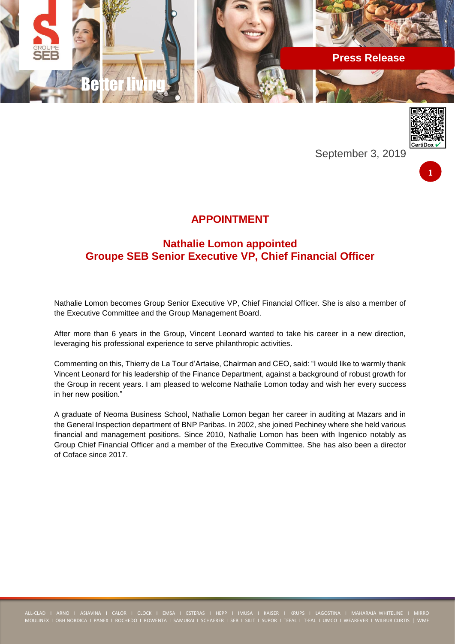



September 3, 2019



# **APPOINTMENT**

# **Nathalie Lomon appointed Groupe SEB Senior Executive VP, Chief Financial Officer**

Nathalie Lomon becomes Group Senior Executive VP, Chief Financial Officer. She is also a member of the Executive Committee and the Group Management Board.

After more than 6 years in the Group, Vincent Leonard wanted to take his career in a new direction, leveraging his professional experience to serve philanthropic activities.

Commenting on this, Thierry de La Tour d'Artaise, Chairman and CEO, said: "I would like to warmly thank Vincent Leonard for his leadership of the Finance Department, against a background of robust growth for the Group in recent years. I am pleased to welcome Nathalie Lomon today and wish her every success in her new position."

A graduate of Neoma Business School, Nathalie Lomon began her career in auditing at Mazars and in the General Inspection department of BNP Paribas. In 2002, she joined Pechiney where she held various financial and management positions. Since 2010, Nathalie Lomon has been with Ingenico notably as Group Chief Financial Officer and a member of the Executive Committee. She has also been a director of Coface since 2017.